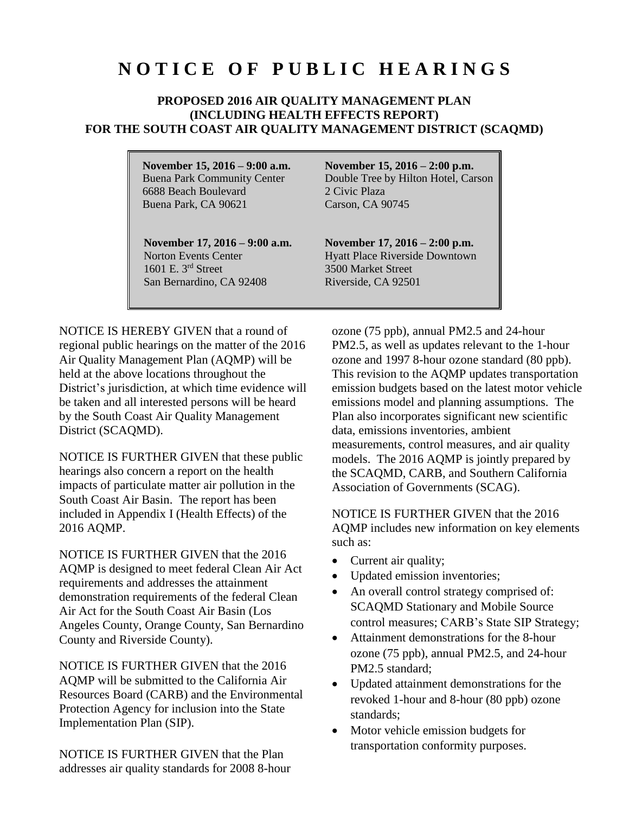## **N O T I C E O F P U B L I C H E A R I N G S**

## **PROPOSED 2016 AIR QUALITY MANAGEMENT PLAN (INCLUDING HEALTH EFFECTS REPORT) FOR THE SOUTH COAST AIR QUALITY MANAGEMENT DISTRICT (SCAQMD)**

**November 15, 2016 – 9:00 a.m.** Buena Park Community Center 6688 Beach Boulevard Buena Park, CA 90621

**November 17, 2016 – 9:00 a.m.**  Norton Events Center 1601 E. 3rd Street San Bernardino, CA 92408

**November 15, 2016 – 2:00 p.m.** Double Tree by Hilton Hotel, Carson 2 Civic Plaza Carson, CA 90745

**November 17, 2016 – 2:00 p.m.** Hyatt Place Riverside Downtown 3500 Market Street Riverside, CA 92501

NOTICE IS HEREBY GIVEN that a round of regional public hearings on the matter of the 2016 Air Quality Management Plan (AQMP) will be held at the above locations throughout the District's jurisdiction, at which time evidence will be taken and all interested persons will be heard by the South Coast Air Quality Management District (SCAQMD).

NOTICE IS FURTHER GIVEN that these public hearings also concern a report on the health impacts of particulate matter air pollution in the South Coast Air Basin. The report has been included in Appendix I (Health Effects) of the 2016 AQMP.

NOTICE IS FURTHER GIVEN that the 2016 AQMP is designed to meet federal Clean Air Act requirements and addresses the attainment demonstration requirements of the federal Clean Air Act for the South Coast Air Basin (Los Angeles County, Orange County, San Bernardino County and Riverside County).

NOTICE IS FURTHER GIVEN that the 2016 AQMP will be submitted to the California Air Resources Board (CARB) and the Environmental Protection Agency for inclusion into the State Implementation Plan (SIP).

NOTICE IS FURTHER GIVEN that the Plan addresses air quality standards for 2008 8-hour ozone (75 ppb), annual PM2.5 and 24-hour PM2.5, as well as updates relevant to the 1-hour ozone and 1997 8-hour ozone standard (80 ppb). This revision to the AQMP updates transportation emission budgets based on the latest motor vehicle emissions model and planning assumptions. The Plan also incorporates significant new scientific data, emissions inventories, ambient measurements, control measures, and air quality models. The 2016 AQMP is jointly prepared by the SCAQMD, CARB, and Southern California Association of Governments (SCAG).

NOTICE IS FURTHER GIVEN that the 2016 AQMP includes new information on key elements such as:

- Current air quality;
- Updated emission inventories;
- An overall control strategy comprised of: SCAQMD Stationary and Mobile Source control measures; CARB's State SIP Strategy;
- Attainment demonstrations for the 8-hour ozone (75 ppb), annual PM2.5, and 24-hour PM2.5 standard;
- Updated attainment demonstrations for the revoked 1-hour and 8-hour (80 ppb) ozone standards;
- Motor vehicle emission budgets for transportation conformity purposes.